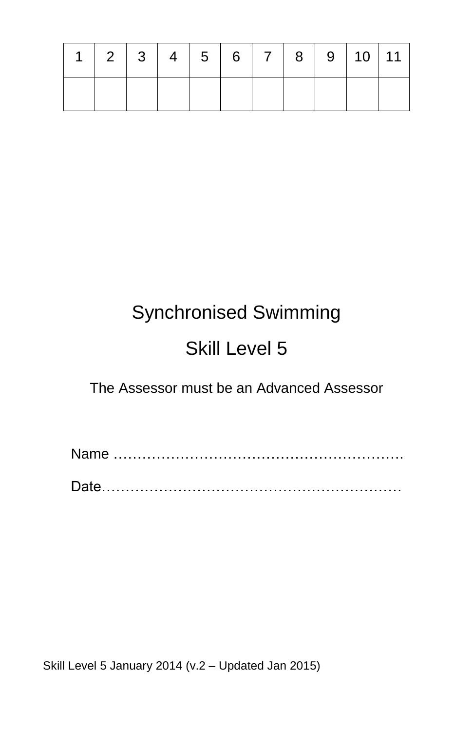|  | $1 \mid 2 \mid 3 \mid 4 \mid 5 \mid 6 \mid 7 \mid 8 \mid 9 \mid 10 \mid 11 \mid$ |  |  |  |  |
|--|----------------------------------------------------------------------------------|--|--|--|--|
|  |                                                                                  |  |  |  |  |

# Synchronised Swimming

## Skill Level 5

The Assessor must be an Advanced Assessor

 Name ……………………………………………………. Date………………………………………………………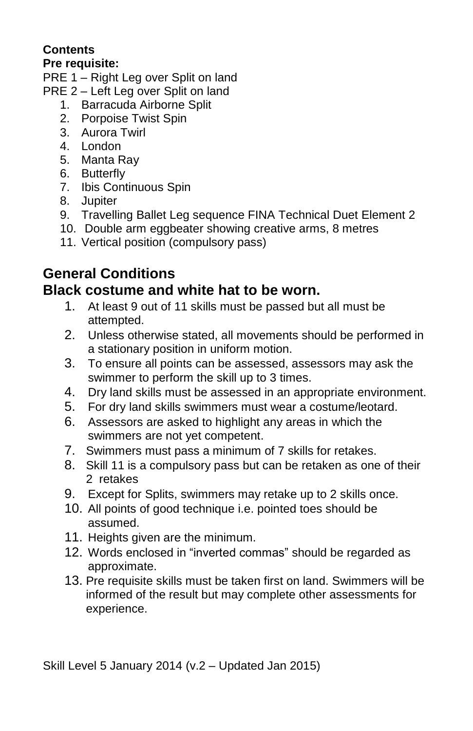#### **Contents**

#### **Pre requisite:**

PRE 1 – Right Leg over Split on land

- PRE 2 Left Leg over Split on land
	- 1. Barracuda Airborne Split
	- 2. Porpoise Twist Spin
	- 3. Aurora Twirl
	- 4. London
	- 5. Manta Ray
	- 6. Butterfly
	- 7. Ibis Continuous Spin
	- 8. Jupiter
	- 9. Travelling Ballet Leg sequence FINA Technical Duet Element 2
	- 10. Double arm eggbeater showing creative arms, 8 metres
	- 11. Vertical position (compulsory pass)

### **General Conditions**

### **Black costume and white hat to be worn.**

- 1. At least 9 out of 11 skills must be passed but all must be attempted.
- 2. Unless otherwise stated, all movements should be performed in a stationary position in uniform motion.
- 3. To ensure all points can be assessed, assessors may ask the swimmer to perform the skill up to 3 times.
- 4. Dry land skills must be assessed in an appropriate environment.
- 5. For dry land skills swimmers must wear a costume/leotard.
- 6. Assessors are asked to highlight any areas in which the swimmers are not yet competent.
- 7. Swimmers must pass a minimum of 7 skills for retakes.
- 8. Skill 11 is a compulsory pass but can be retaken as one of their 2 retakes
- 9. Except for Splits, swimmers may retake up to 2 skills once.
- 10. All points of good technique i.e. pointed toes should be assumed.
- 11. Heights given are the minimum.
- 12. Words enclosed in "inverted commas" should be regarded as approximate.
- 13. Pre requisite skills must be taken first on land. Swimmers will be informed of the result but may complete other assessments for experience.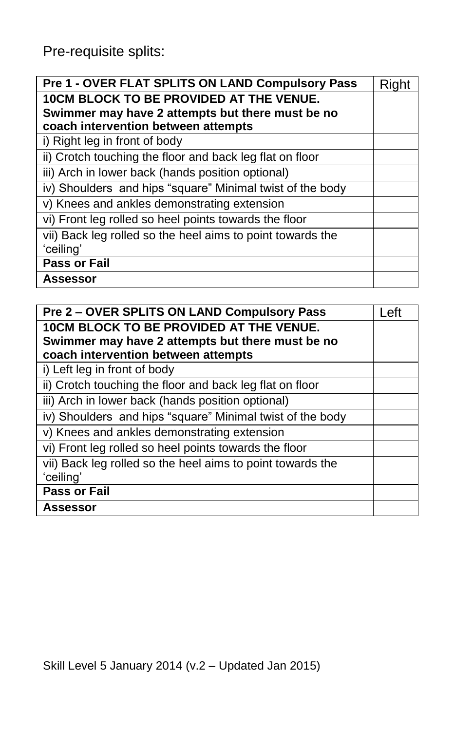Pre-requisite splits:

| Pre 1 - OVER FLAT SPLITS ON LAND Compulsory Pass           | Riaht |
|------------------------------------------------------------|-------|
| <b>10CM BLOCK TO BE PROVIDED AT THE VENUE.</b>             |       |
| Swimmer may have 2 attempts but there must be no           |       |
| coach intervention between attempts                        |       |
| i) Right leg in front of body                              |       |
| ii) Crotch touching the floor and back leg flat on floor   |       |
| iii) Arch in lower back (hands position optional)          |       |
| iv) Shoulders and hips "square" Minimal twist of the body  |       |
| v) Knees and ankles demonstrating extension                |       |
| vi) Front leg rolled so heel points towards the floor      |       |
| vii) Back leg rolled so the heel aims to point towards the |       |
| 'ceiling'                                                  |       |
| <b>Pass or Fail</b>                                        |       |
| Assessor                                                   |       |

| Pre 2 – OVER SPLITS ON LAND Compulsory Pass                | l eft |
|------------------------------------------------------------|-------|
| <b>10CM BLOCK TO BE PROVIDED AT THE VENUE.</b>             |       |
| Swimmer may have 2 attempts but there must be no           |       |
| coach intervention between attempts                        |       |
| i) Left leg in front of body                               |       |
| ii) Crotch touching the floor and back leg flat on floor   |       |
| iii) Arch in lower back (hands position optional)          |       |
| iv) Shoulders and hips "square" Minimal twist of the body  |       |
| v) Knees and ankles demonstrating extension                |       |
| vi) Front leg rolled so heel points towards the floor      |       |
| vii) Back leg rolled so the heel aims to point towards the |       |
| 'ceiling'                                                  |       |
| Pass or Fail                                               |       |
| Assessor                                                   |       |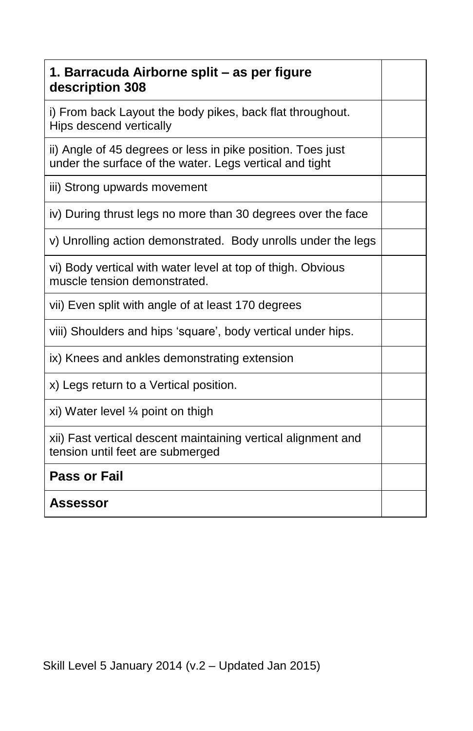| 1. Barracuda Airborne split – as per figure<br>description 308                                                         |  |
|------------------------------------------------------------------------------------------------------------------------|--|
| i) From back Layout the body pikes, back flat throughout.<br>Hips descend vertically                                   |  |
| ii) Angle of 45 degrees or less in pike position. Toes just<br>under the surface of the water. Legs vertical and tight |  |
| iii) Strong upwards movement                                                                                           |  |
| iv) During thrust legs no more than 30 degrees over the face                                                           |  |
| v) Unrolling action demonstrated. Body unrolls under the legs                                                          |  |
| vi) Body vertical with water level at top of thigh. Obvious<br>muscle tension demonstrated.                            |  |
| vii) Even split with angle of at least 170 degrees                                                                     |  |
| viii) Shoulders and hips 'square', body vertical under hips.                                                           |  |
| ix) Knees and ankles demonstrating extension                                                                           |  |
| x) Legs return to a Vertical position.                                                                                 |  |
| xi) Water level $\frac{1}{4}$ point on thigh                                                                           |  |
| xii) Fast vertical descent maintaining vertical alignment and<br>tension until feet are submerged                      |  |
| <b>Pass or Fail</b>                                                                                                    |  |
| <b>Assessor</b>                                                                                                        |  |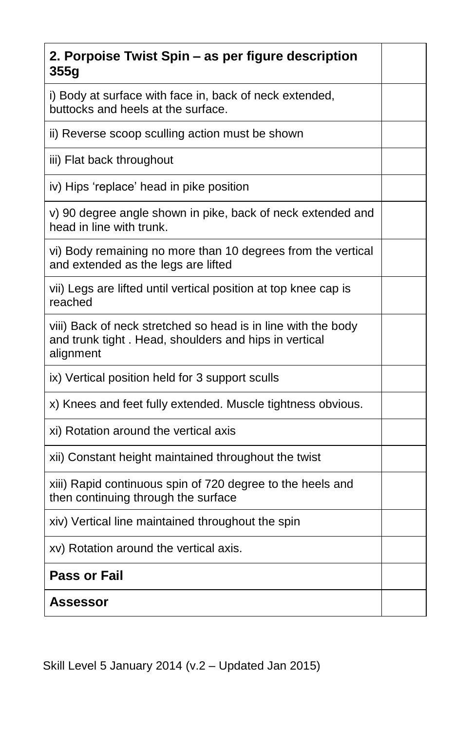| 2. Porpoise Twist Spin - as per figure description<br>355g                                                                          |  |
|-------------------------------------------------------------------------------------------------------------------------------------|--|
| i) Body at surface with face in, back of neck extended,<br>buttocks and heels at the surface.                                       |  |
| ii) Reverse scoop sculling action must be shown                                                                                     |  |
| iii) Flat back throughout                                                                                                           |  |
| iv) Hips 'replace' head in pike position                                                                                            |  |
| v) 90 degree angle shown in pike, back of neck extended and<br>head in line with trunk.                                             |  |
| vi) Body remaining no more than 10 degrees from the vertical<br>and extended as the legs are lifted                                 |  |
| vii) Legs are lifted until vertical position at top knee cap is<br>reached                                                          |  |
| viii) Back of neck stretched so head is in line with the body<br>and trunk tight. Head, shoulders and hips in vertical<br>alignment |  |
| ix) Vertical position held for 3 support sculls                                                                                     |  |
| x) Knees and feet fully extended. Muscle tightness obvious.                                                                         |  |
| xi) Rotation around the vertical axis                                                                                               |  |
| xii) Constant height maintained throughout the twist                                                                                |  |
| xiii) Rapid continuous spin of 720 degree to the heels and<br>then continuing through the surface                                   |  |
| xiv) Vertical line maintained throughout the spin                                                                                   |  |
| xv) Rotation around the vertical axis.                                                                                              |  |
| <b>Pass or Fail</b>                                                                                                                 |  |
| Assessor                                                                                                                            |  |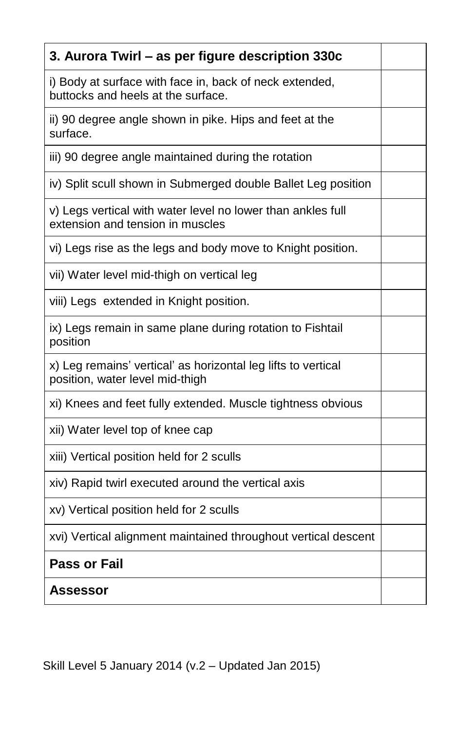| 3. Aurora Twirl - as per figure description 330c                                                 |  |
|--------------------------------------------------------------------------------------------------|--|
| i) Body at surface with face in, back of neck extended,<br>buttocks and heels at the surface.    |  |
| ii) 90 degree angle shown in pike. Hips and feet at the<br>surface.                              |  |
| iii) 90 degree angle maintained during the rotation                                              |  |
| iv) Split scull shown in Submerged double Ballet Leg position                                    |  |
| v) Legs vertical with water level no lower than ankles full<br>extension and tension in muscles  |  |
| vi) Legs rise as the legs and body move to Knight position.                                      |  |
| vii) Water level mid-thigh on vertical leg                                                       |  |
| viii) Legs extended in Knight position.                                                          |  |
| ix) Legs remain in same plane during rotation to Fishtail<br>position                            |  |
| x) Leg remains' vertical' as horizontal leg lifts to vertical<br>position, water level mid-thigh |  |
| xi) Knees and feet fully extended. Muscle tightness obvious                                      |  |
| xii) Water level top of knee cap                                                                 |  |
| xiii) Vertical position held for 2 sculls                                                        |  |
| xiv) Rapid twirl executed around the vertical axis                                               |  |
| xv) Vertical position held for 2 sculls                                                          |  |
| xvi) Vertical alignment maintained throughout vertical descent                                   |  |
| <b>Pass or Fail</b>                                                                              |  |
| Assessor                                                                                         |  |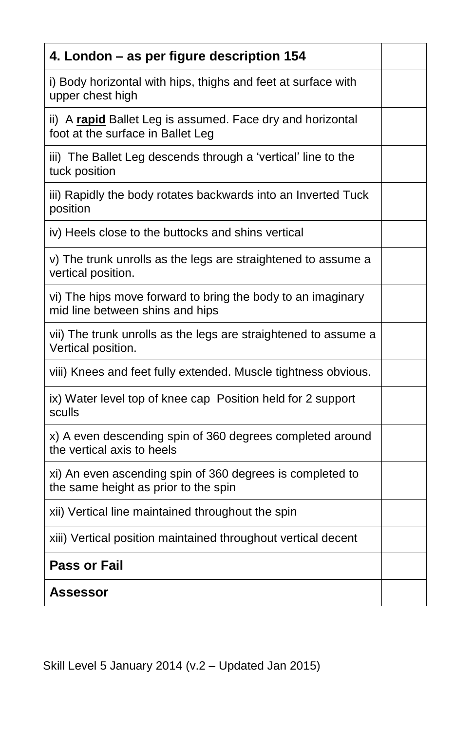| 4. London - as per figure description 154                                                         |  |
|---------------------------------------------------------------------------------------------------|--|
| i) Body horizontal with hips, thighs and feet at surface with<br>upper chest high                 |  |
| ii) A rapid Ballet Leg is assumed. Face dry and horizontal<br>foot at the surface in Ballet Leg   |  |
| iii) The Ballet Leg descends through a 'vertical' line to the<br>tuck position                    |  |
| iii) Rapidly the body rotates backwards into an Inverted Tuck<br>position                         |  |
| iv) Heels close to the buttocks and shins vertical                                                |  |
| v) The trunk unrolls as the legs are straightened to assume a<br>vertical position.               |  |
| vi) The hips move forward to bring the body to an imaginary<br>mid line between shins and hips    |  |
| vii) The trunk unrolls as the legs are straightened to assume a<br>Vertical position.             |  |
| viii) Knees and feet fully extended. Muscle tightness obvious.                                    |  |
| ix) Water level top of knee cap Position held for 2 support<br>sculls                             |  |
| x) A even descending spin of 360 degrees completed around<br>the vertical axis to heels           |  |
| xi) An even ascending spin of 360 degrees is completed to<br>the same height as prior to the spin |  |
| xii) Vertical line maintained throughout the spin                                                 |  |
| xiii) Vertical position maintained throughout vertical decent                                     |  |
| <b>Pass or Fail</b>                                                                               |  |
| Assessor                                                                                          |  |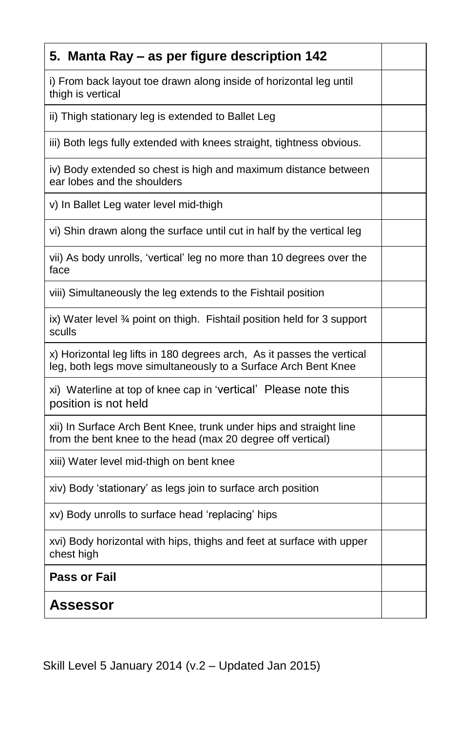| 5. Manta Ray – as per figure description 142                                                                                             |  |
|------------------------------------------------------------------------------------------------------------------------------------------|--|
| i) From back layout toe drawn along inside of horizontal leg until<br>thigh is vertical                                                  |  |
| ii) Thigh stationary leg is extended to Ballet Leg                                                                                       |  |
| iii) Both legs fully extended with knees straight, tightness obvious.                                                                    |  |
| iv) Body extended so chest is high and maximum distance between<br>ear lobes and the shoulders                                           |  |
| v) In Ballet Leg water level mid-thigh                                                                                                   |  |
| vi) Shin drawn along the surface until cut in half by the vertical leg                                                                   |  |
| vii) As body unrolls, 'vertical' leg no more than 10 degrees over the<br>face                                                            |  |
| viii) Simultaneously the leg extends to the Fishtail position                                                                            |  |
| ix) Water level 3⁄4 point on thigh. Fishtail position held for 3 support<br>sculls                                                       |  |
| x) Horizontal leg lifts in 180 degrees arch, As it passes the vertical<br>leg, both legs move simultaneously to a Surface Arch Bent Knee |  |
| xi) Waterline at top of knee cap in 'vertical' Please note this<br>position is not held                                                  |  |
| xii) In Surface Arch Bent Knee, trunk under hips and straight line<br>from the bent knee to the head (max 20 degree off vertical)        |  |
| xiii) Water level mid-thigh on bent knee                                                                                                 |  |
| xiv) Body 'stationary' as legs join to surface arch position                                                                             |  |
| xv) Body unrolls to surface head 'replacing' hips                                                                                        |  |
| xvi) Body horizontal with hips, thighs and feet at surface with upper<br>chest high                                                      |  |
| <b>Pass or Fail</b>                                                                                                                      |  |
| Assessor                                                                                                                                 |  |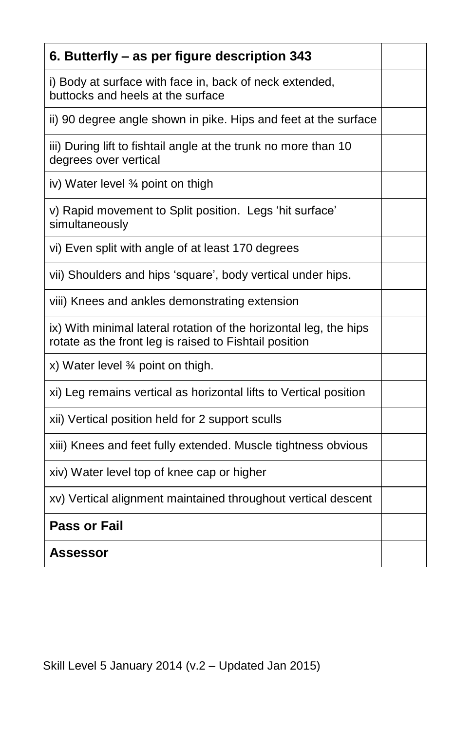| 6. Butterfly – as per figure description 343                                                                                |  |
|-----------------------------------------------------------------------------------------------------------------------------|--|
| i) Body at surface with face in, back of neck extended,<br>buttocks and heels at the surface                                |  |
| ii) 90 degree angle shown in pike. Hips and feet at the surface                                                             |  |
| iii) During lift to fishtail angle at the trunk no more than 10<br>degrees over vertical                                    |  |
| iv) Water level 3/4 point on thigh                                                                                          |  |
| v) Rapid movement to Split position. Legs 'hit surface'<br>simultaneously                                                   |  |
| vi) Even split with angle of at least 170 degrees                                                                           |  |
| vii) Shoulders and hips 'square', body vertical under hips.                                                                 |  |
| viii) Knees and ankles demonstrating extension                                                                              |  |
| ix) With minimal lateral rotation of the horizontal leg, the hips<br>rotate as the front leg is raised to Fishtail position |  |
| x) Water level 3⁄4 point on thigh.                                                                                          |  |
| xi) Leg remains vertical as horizontal lifts to Vertical position                                                           |  |
| xii) Vertical position held for 2 support sculls                                                                            |  |
| xiii) Knees and feet fully extended. Muscle tightness obvious                                                               |  |
| xiv) Water level top of knee cap or higher                                                                                  |  |
| xv) Vertical alignment maintained throughout vertical descent                                                               |  |
| <b>Pass or Fail</b>                                                                                                         |  |
| <b>Assessor</b>                                                                                                             |  |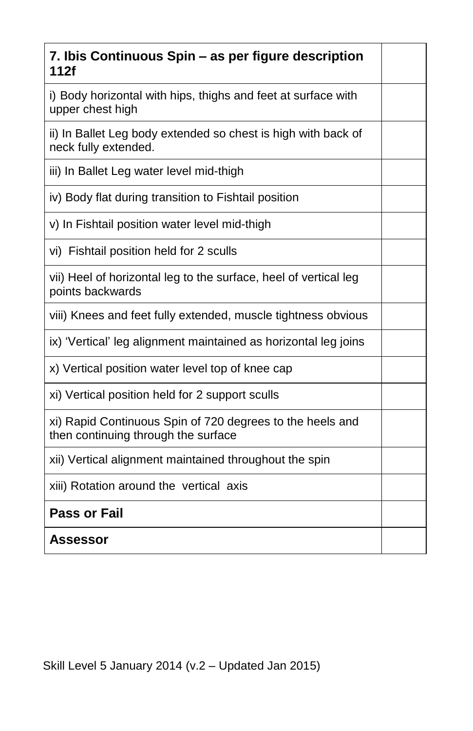| 7. Ibis Continuous Spin – as per figure description<br>112f                                      |  |
|--------------------------------------------------------------------------------------------------|--|
| i) Body horizontal with hips, thighs and feet at surface with<br>upper chest high                |  |
| ii) In Ballet Leg body extended so chest is high with back of<br>neck fully extended.            |  |
| iii) In Ballet Leg water level mid-thigh                                                         |  |
| iv) Body flat during transition to Fishtail position                                             |  |
| v) In Fishtail position water level mid-thigh                                                    |  |
| vi) Fishtail position held for 2 sculls                                                          |  |
| vii) Heel of horizontal leg to the surface, heel of vertical leg<br>points backwards             |  |
| viii) Knees and feet fully extended, muscle tightness obvious                                    |  |
| ix) 'Vertical' leg alignment maintained as horizontal leg joins                                  |  |
| x) Vertical position water level top of knee cap                                                 |  |
| xi) Vertical position held for 2 support sculls                                                  |  |
| xi) Rapid Continuous Spin of 720 degrees to the heels and<br>then continuing through the surface |  |
| xii) Vertical alignment maintained throughout the spin                                           |  |
| xiii) Rotation around the vertical axis                                                          |  |
| <b>Pass or Fail</b>                                                                              |  |
| Assessor                                                                                         |  |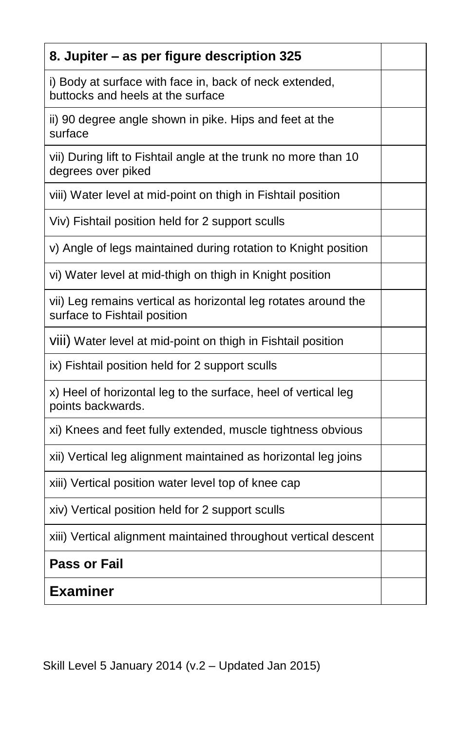| 8. Jupiter - as per figure description 325                                                     |  |
|------------------------------------------------------------------------------------------------|--|
| i) Body at surface with face in, back of neck extended,<br>buttocks and heels at the surface   |  |
| ii) 90 degree angle shown in pike. Hips and feet at the<br>surface                             |  |
| vii) During lift to Fishtail angle at the trunk no more than 10<br>degrees over piked          |  |
| viii) Water level at mid-point on thigh in Fishtail position                                   |  |
| Viv) Fishtail position held for 2 support sculls                                               |  |
| v) Angle of legs maintained during rotation to Knight position                                 |  |
| vi) Water level at mid-thigh on thigh in Knight position                                       |  |
| vii) Leg remains vertical as horizontal leg rotates around the<br>surface to Fishtail position |  |
| Viii) Water level at mid-point on thigh in Fishtail position                                   |  |
| ix) Fishtail position held for 2 support sculls                                                |  |
| x) Heel of horizontal leg to the surface, heel of vertical leg<br>points backwards.            |  |
| xi) Knees and feet fully extended, muscle tightness obvious                                    |  |
| xii) Vertical leg alignment maintained as horizontal leg joins                                 |  |
| xiii) Vertical position water level top of knee cap                                            |  |
| xiv) Vertical position held for 2 support sculls                                               |  |
| xiii) Vertical alignment maintained throughout vertical descent                                |  |
| <b>Pass or Fail</b>                                                                            |  |
| <b>Examiner</b>                                                                                |  |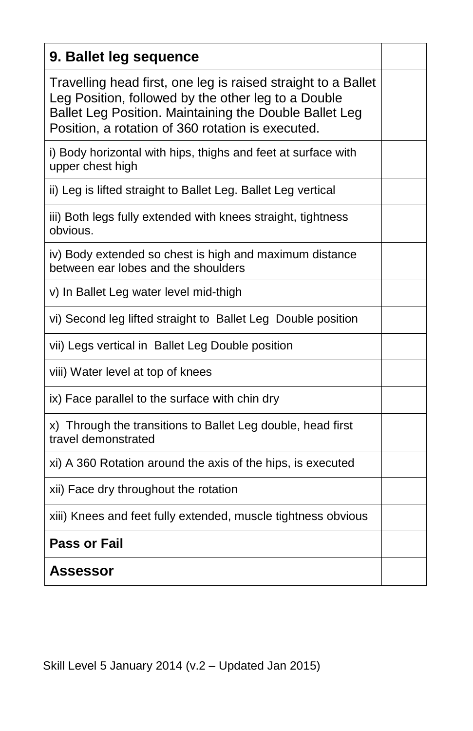| 9. Ballet leg sequence                                                                                                                                                                                                              |  |
|-------------------------------------------------------------------------------------------------------------------------------------------------------------------------------------------------------------------------------------|--|
| Travelling head first, one leg is raised straight to a Ballet<br>Leg Position, followed by the other leg to a Double<br>Ballet Leg Position. Maintaining the Double Ballet Leg<br>Position, a rotation of 360 rotation is executed. |  |
| i) Body horizontal with hips, thighs and feet at surface with<br>upper chest high                                                                                                                                                   |  |
| ii) Leg is lifted straight to Ballet Leg. Ballet Leg vertical                                                                                                                                                                       |  |
| iii) Both legs fully extended with knees straight, tightness<br>obvious.                                                                                                                                                            |  |
| iv) Body extended so chest is high and maximum distance<br>between ear lobes and the shoulders                                                                                                                                      |  |
| v) In Ballet Leg water level mid-thigh                                                                                                                                                                                              |  |
| vi) Second leg lifted straight to Ballet Leg Double position                                                                                                                                                                        |  |
| vii) Legs vertical in Ballet Leg Double position                                                                                                                                                                                    |  |
| viii) Water level at top of knees                                                                                                                                                                                                   |  |
| ix) Face parallel to the surface with chin dry                                                                                                                                                                                      |  |
| x) Through the transitions to Ballet Leg double, head first<br>travel demonstrated                                                                                                                                                  |  |
| xi) A 360 Rotation around the axis of the hips, is executed                                                                                                                                                                         |  |
| xii) Face dry throughout the rotation                                                                                                                                                                                               |  |
| xiii) Knees and feet fully extended, muscle tightness obvious                                                                                                                                                                       |  |
| <b>Pass or Fail</b>                                                                                                                                                                                                                 |  |
| Assessor                                                                                                                                                                                                                            |  |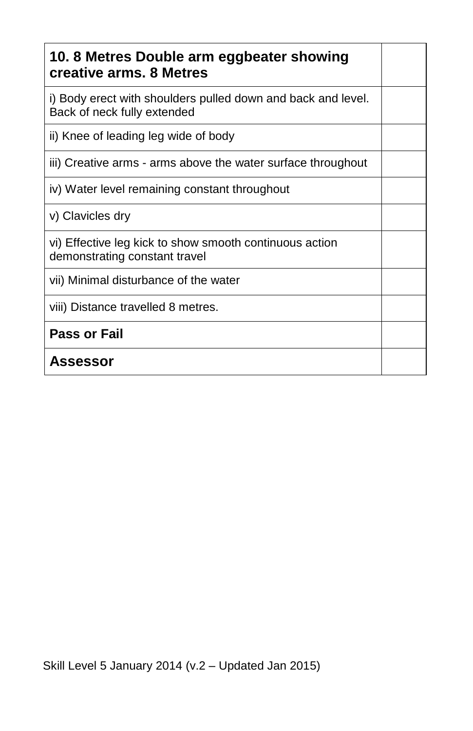| 10.8 Metres Double arm eggbeater showing<br>creative arms. 8 Metres                         |  |
|---------------------------------------------------------------------------------------------|--|
| i) Body erect with shoulders pulled down and back and level.<br>Back of neck fully extended |  |
| ii) Knee of leading leg wide of body                                                        |  |
| iii) Creative arms - arms above the water surface throughout                                |  |
| iv) Water level remaining constant throughout                                               |  |
| v) Clavicles dry                                                                            |  |
| vi) Effective leg kick to show smooth continuous action<br>demonstrating constant travel    |  |
| vii) Minimal disturbance of the water                                                       |  |
| viii) Distance travelled 8 metres.                                                          |  |
| <b>Pass or Fail</b>                                                                         |  |
| <b>Assessor</b>                                                                             |  |